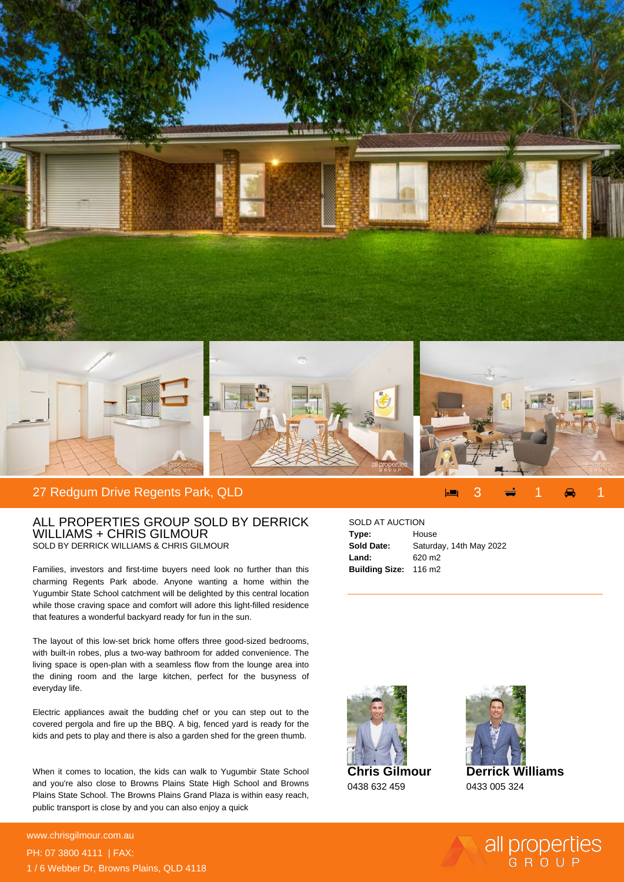



## 27 Redgum Drive Regents Park, QLD

## ALL PROPERTIES GROUP SOLD BY DERRICK WILLIAMS + CHRIS GILMOUR SOLD BY DERRICK WILLIAMS & CHRIS GILMOUR

Families, investors and first-time buyers need look no further than this charming Regents Park abode. Anyone wanting a home within the Yugumbir State School catchment will be delighted by this central location while those craving space and comfort will adore this light-filled residence that features a wonderful backyard ready for fun in the sun.

The layout of this low-set brick home offers three good-sized bedrooms, with built-in robes, plus a two-way bathroom for added convenience. The living space is open-plan with a seamless flow from the lounge area into the dining room and the large kitchen, perfect for the busyness of everyday life.

Electric appliances await the budding chef or you can step out to the covered pergola and fire up the BBQ. A big, fenced yard is ready for the kids and pets to play and there is also a garden shed for the green thumb.

When it comes to location, the kids can walk to Yugumbir State School and you're also close to Browns Plains State High School and Browns Plains State School. The Browns Plains Grand Plaza is within easy reach, public transport is close by and you can also enjoy a quick

## **For more details please visit** www.chrisgilmour.com.au/6960699999999999999999<br>www.chrisgilmour.com.au PH: 07 3800 4111 | FAX: 1 / 6 Webber Dr, Browns Plains, QLD 4118

## SOLD AT AUCTION

| Type:                 | House                   |
|-----------------------|-------------------------|
| <b>Sold Date:</b>     | Saturday, 14th May 2022 |
| Land:                 | 620 m <sub>2</sub>      |
| Building Size: 116 m2 |                         |





0433 005 324